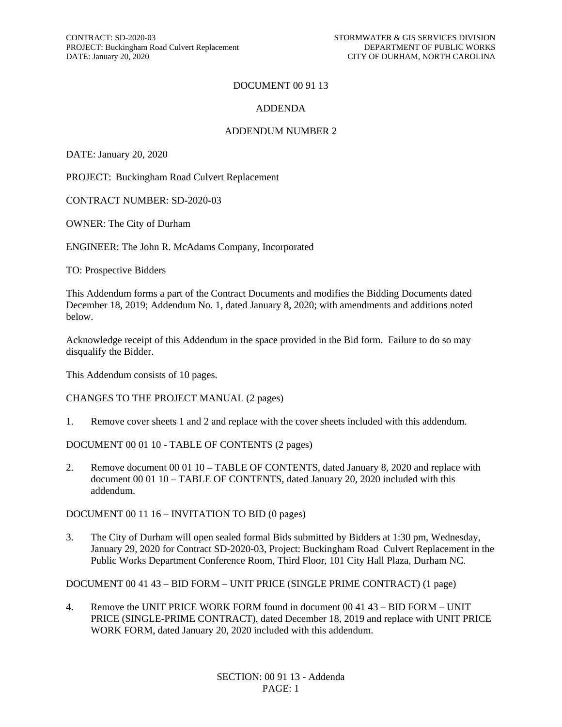#### DOCUMENT 00 91 13

#### ADDENDA

#### ADDENDUM NUMBER 2

DATE: January 20, 2020

PROJECT: Buckingham Road Culvert Replacement

CONTRACT NUMBER: SD-2020-03

OWNER: The City of Durham

ENGINEER: The John R. McAdams Company, Incorporated

TO: Prospective Bidders

This Addendum forms a part of the Contract Documents and modifies the Bidding Documents dated December 18, 2019; Addendum No. 1, dated January 8, 2020; with amendments and additions noted below.

Acknowledge receipt of this Addendum in the space provided in the Bid form. Failure to do so may disqualify the Bidder.

This Addendum consists of 10 pages.

CHANGES TO THE PROJECT MANUAL (2 pages)

1. Remove cover sheets 1 and 2 and replace with the cover sheets included with this addendum.

DOCUMENT 00 01 10 - TABLE OF CONTENTS (2 pages)

2. Remove document 00 01 10 – TABLE OF CONTENTS, dated January 8, 2020 and replace with document 00 01 10 – TABLE OF CONTENTS, dated January 20, 2020 included with this addendum.

DOCUMENT 00 11 16 – INVITATION TO BID (0 pages)

3. The City of Durham will open sealed formal Bids submitted by Bidders at 1:30 pm, Wednesday, January 29, 2020 for Contract SD-2020-03, Project: Buckingham Road Culvert Replacement in the Public Works Department Conference Room, Third Floor, 101 City Hall Plaza, Durham NC.

DOCUMENT 00 41 43 – BID FORM – UNIT PRICE (SINGLE PRIME CONTRACT) (1 page)

4. Remove the UNIT PRICE WORK FORM found in document 00 41 43 – BID FORM – UNIT PRICE (SINGLE-PRIME CONTRACT), dated December 18, 2019 and replace with UNIT PRICE WORK FORM, dated January 20, 2020 included with this addendum.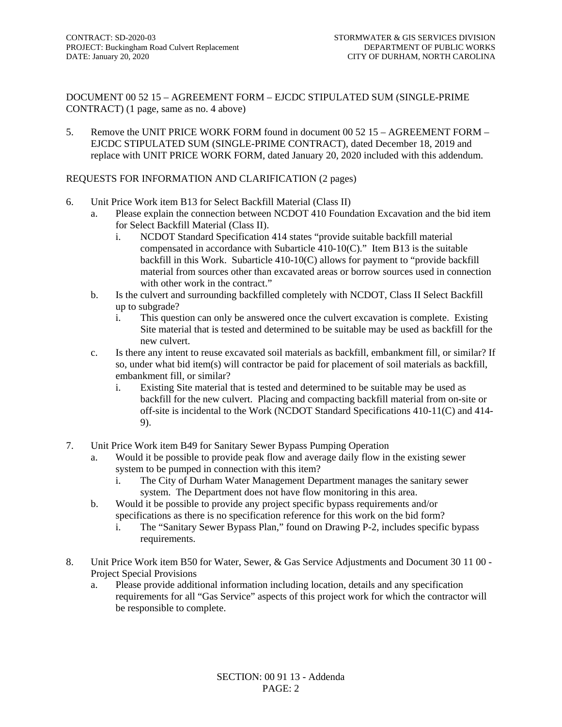DOCUMENT 00 52 15 – AGREEMENT FORM – EJCDC STIPULATED SUM (SINGLE-PRIME CONTRACT) (1 page, same as no. 4 above)

5. Remove the UNIT PRICE WORK FORM found in document 00 52 15 – AGREEMENT FORM – EJCDC STIPULATED SUM (SINGLE-PRIME CONTRACT), dated December 18, 2019 and replace with UNIT PRICE WORK FORM, dated January 20, 2020 included with this addendum.

#### REQUESTS FOR INFORMATION AND CLARIFICATION (2 pages)

- 6. Unit Price Work item B13 for Select Backfill Material (Class II)
	- a. Please explain the connection between NCDOT 410 Foundation Excavation and the bid item for Select Backfill Material (Class II).
		- i. NCDOT Standard Specification 414 states "provide suitable backfill material compensated in accordance with Subarticle 410-10(C)." Item B13 is the suitable backfill in this Work. Subarticle 410-10(C) allows for payment to "provide backfill material from sources other than excavated areas or borrow sources used in connection with other work in the contract."
	- b. Is the culvert and surrounding backfilled completely with NCDOT, Class II Select Backfill up to subgrade?
		- i. This question can only be answered once the culvert excavation is complete. Existing Site material that is tested and determined to be suitable may be used as backfill for the new culvert.
	- c. Is there any intent to reuse excavated soil materials as backfill, embankment fill, or similar? If so, under what bid item(s) will contractor be paid for placement of soil materials as backfill, embankment fill, or similar?
		- i. Existing Site material that is tested and determined to be suitable may be used as backfill for the new culvert. Placing and compacting backfill material from on-site or off-site is incidental to the Work (NCDOT Standard Specifications 410-11(C) and 414- 9).
- 7. Unit Price Work item B49 for Sanitary Sewer Bypass Pumping Operation
	- a. Would it be possible to provide peak flow and average daily flow in the existing sewer system to be pumped in connection with this item?
		- i. The City of Durham Water Management Department manages the sanitary sewer system. The Department does not have flow monitoring in this area.
	- b. Would it be possible to provide any project specific bypass requirements and/or specifications as there is no specification reference for this work on the bid form?
		- i. The "Sanitary Sewer Bypass Plan," found on Drawing P-2, includes specific bypass requirements.
- 8. Unit Price Work item B50 for Water, Sewer, & Gas Service Adjustments and Document 30 11 00 Project Special Provisions
	- a. Please provide additional information including location, details and any specification requirements for all "Gas Service" aspects of this project work for which the contractor will be responsible to complete.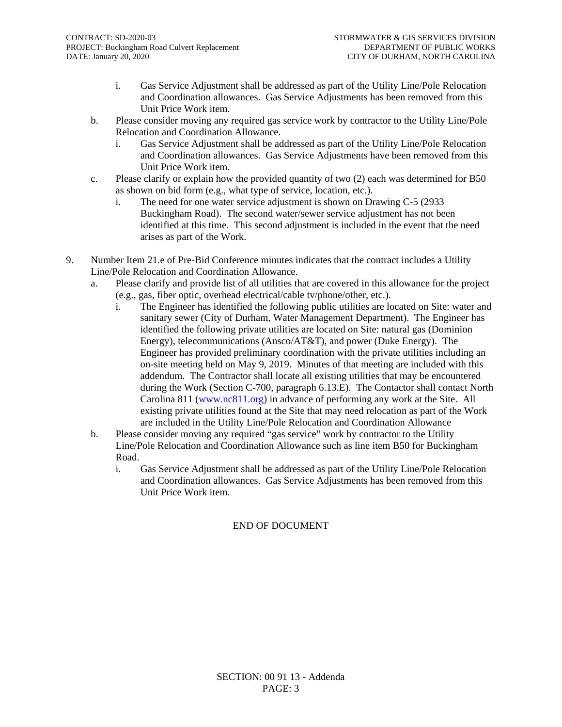- i. Gas Service Adjustment shall be addressed as part of the Utility Line/Pole Relocation and Coordination allowances. Gas Service Adjustments has been removed from this Unit Price Work item.
- b. Please consider moving any required gas service work by contractor to the Utility Line/Pole Relocation and Coordination Allowance.
	- i. Gas Service Adjustment shall be addressed as part of the Utility Line/Pole Relocation and Coordination allowances. Gas Service Adjustments have been removed from this Unit Price Work item.
- c. Please clarify or explain how the provided quantity of two (2) each was determined for B50 as shown on bid form (e.g., what type of service, location, etc.).
	- i. The need for one water service adjustment is shown on Drawing C-5 (2933 Buckingham Road). The second water/sewer service adjustment has not been identified at this time. This second adjustment is included in the event that the need arises as part of the Work.
- 9. Number Item 21.e of Pre-Bid Conference minutes indicates that the contract includes a Utility Line/Pole Relocation and Coordination Allowance.
	- a. Please clarify and provide list of all utilities that are covered in this allowance for the project (e.g., gas, fiber optic, overhead electrical/cable tv/phone/other, etc.).
		- i. The Engineer has identified the following public utilities are located on Site: water and sanitary sewer (City of Durham, Water Management Department). The Engineer has identified the following private utilities are located on Site: natural gas (Dominion Energy), telecommunications (Ansco/AT&T), and power (Duke Energy). The Engineer has provided preliminary coordination with the private utilities including an on-site meeting held on May 9, 2019. Minutes of that meeting are included with this addendum. The Contractor shall locate all existing utilities that may be encountered during the Work (Section C-700, paragraph 6.13.E). The Contactor shall contact North Carolina 811 [\(www.nc811.org\)](http://www.nc811.org/) in advance of performing any work at the Site. All existing private utilities found at the Site that may need relocation as part of the Work are included in the Utility Line/Pole Relocation and Coordination Allowance
	- b. Please consider moving any required "gas service" work by contractor to the Utility Line/Pole Relocation and Coordination Allowance such as line item B50 for Buckingham Road.
		- i. Gas Service Adjustment shall be addressed as part of the Utility Line/Pole Relocation and Coordination allowances. Gas Service Adjustments has been removed from this Unit Price Work item.

#### END OF DOCUMENT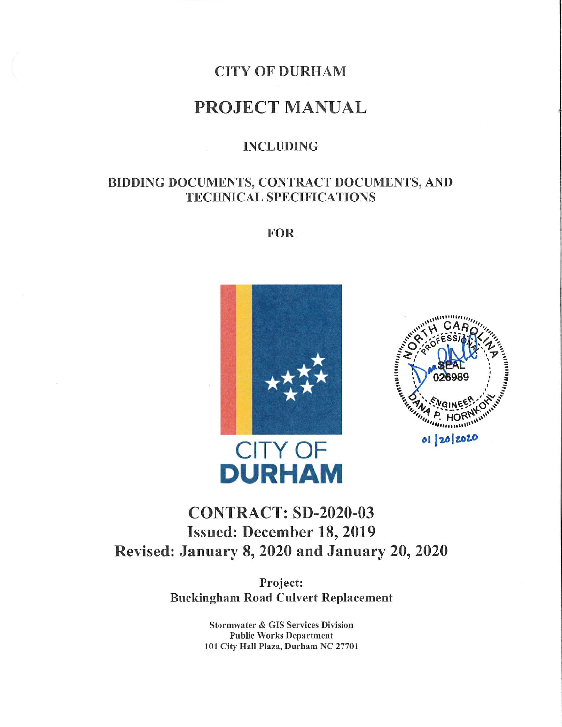## **CITY OF DURHAM**

## **PROJECT MANUAL**

#### **INCLUDING**

## BIDDING DOCUMENTS, CONTRACT DOCUMENTS, AND **TECHNICAL SPECIFICATIONS**

**FOR** 





# **CONTRACT: SD-2020-03 Issued: December 18, 2019** Revised: January 8, 2020 and January 20, 2020

**DURHAM** 

Project: **Buckingham Road Culvert Replacement** 

> **Stormwater & GIS Services Division Public Works Department** 101 City Hall Plaza, Durham NC 27701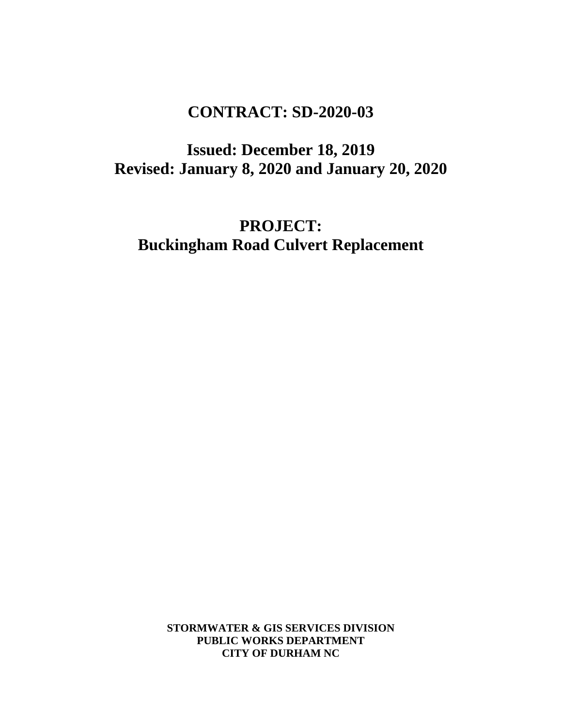# **CONTRACT: SD-2020-03**

**Issued: December 18, 2019 Revised: January 8, 2020 and January 20, 2020**

**PROJECT: Buckingham Road Culvert Replacement**

> **STORMWATER & GIS SERVICES DIVISION PUBLIC WORKS DEPARTMENT CITY OF DURHAM NC**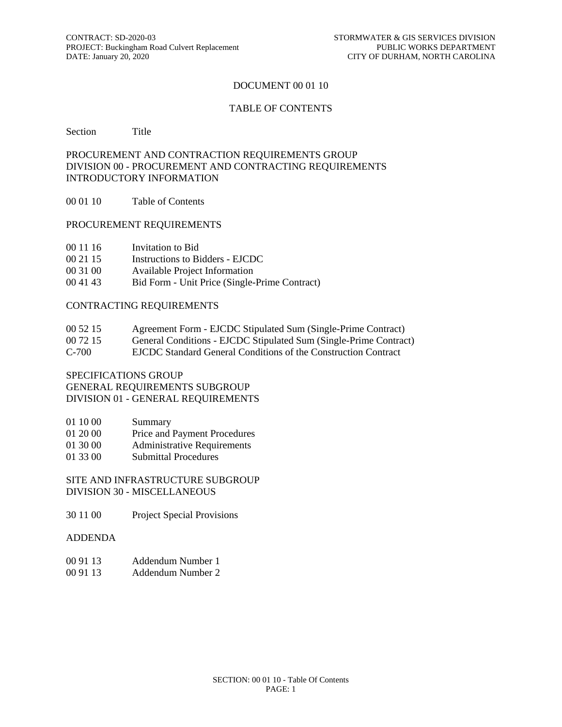#### DOCUMENT 00 01 10

#### TABLE OF CONTENTS

Section Title

#### PROCUREMENT AND CONTRACTION REQUIREMENTS GROUP DIVISION 00 - PROCUREMENT AND CONTRACTING REQUIREMENTS INTRODUCTORY INFORMATION

00 01 10 Table of Contents

#### PROCUREMENT REQUIREMENTS

- 00 11 16 Invitation to Bid
- 00 21 15 Instructions to Bidders EJCDC
- 00 31 00 Available Project Information
- 00 41 43 Bid Form Unit Price (Single-Prime Contract)

#### CONTRACTING REQUIREMENTS

| 00 52 15<br>Agreement Form - EJCDC Stipulated Sum (Single-Prime Contract) |
|---------------------------------------------------------------------------|
|---------------------------------------------------------------------------|

- 00 72 15 General Conditions EJCDC Stipulated Sum (Single-Prime Contract)
- C-700 EJCDC Standard General Conditions of the Construction Contract

#### SPECIFICATIONS GROUP GENERAL REQUIREMENTS SUBGROUP

DIVISION 01 - GENERAL REQUIREMENTS

- 01 10 00 Summary
- 01 20 00 Price and Payment Procedures
- 01 30 00 Administrative Requirements
- 01 33 00 Submittal Procedures

SITE AND INFRASTRUCTURE SUBGROUP DIVISION 30 - MISCELLANEOUS

30 11 00 Project Special Provisions

#### ADDENDA

- 00 91 13 Addendum Number 1
- 00 91 13 Addendum Number 2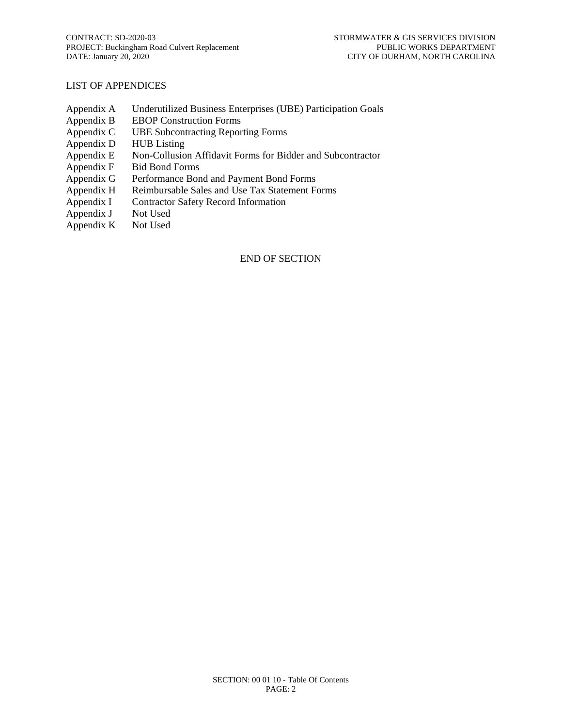#### LIST OF APPENDICES

- Appendix A Underutilized Business Enterprises (UBE) Participation Goals
- Appendix B EBOP Construction Forms<br>Appendix C UBE Subcontracting Repor
- UBE Subcontracting Reporting Forms
- Appendix D HUB Listing
- Appendix E Non-Collusion Affidavit Forms for Bidder and Subcontractor
- Appendix F Bid Bond Forms
- Appendix G Performance Bond and Payment Bond Forms
- Appendix H Reimbursable Sales and Use Tax Statement Forms
- Appendix I Contractor Safety Record Information
- Appendix J Not Used<br>Appendix K Not Used
- Appendix  $K$

#### END OF SECTION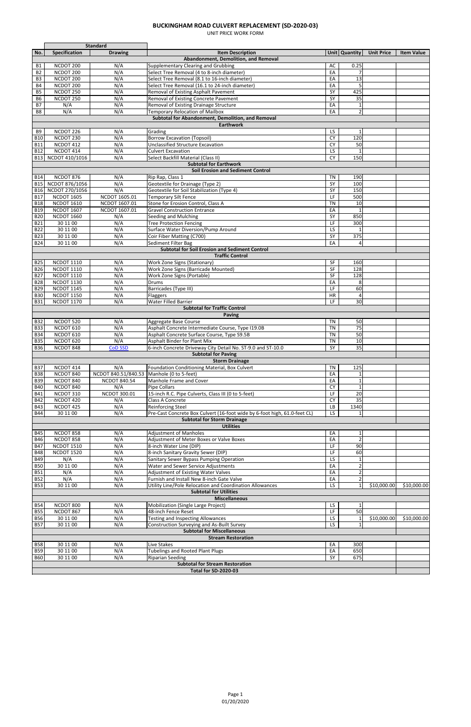#### **BUCKINGHAM ROAD CULVERT REPLACEMENT (SD-2020-03)**

UNIT PRICE WORK FORM

|                |                               | Standard            |                                                                           |                 |                          |                   |                   |  |  |
|----------------|-------------------------------|---------------------|---------------------------------------------------------------------------|-----------------|--------------------------|-------------------|-------------------|--|--|
| No.            | Specification                 | <b>Drawing</b>      | <b>Item Description</b>                                                   |                 | Unit Quantity            | <b>Unit Price</b> | <b>Item Value</b> |  |  |
|                |                               |                     | Abandonment, Demolition, and Removal                                      |                 |                          |                   |                   |  |  |
| <b>B1</b>      | NCDOT 200                     | N/A                 | <b>Supplementary Clearing and Grubbing</b>                                | AC              | 0.25                     |                   |                   |  |  |
| <b>B2</b>      | NCDOT 200                     | N/A                 | Select Tree Removal (4 to 8-inch diameter)                                | EA              | $\overline{7}$           |                   |                   |  |  |
| B3             | NCDOT 200                     | N/A                 | Select Tree Removal (8.1 to 16-inch diameter)                             | EA              | $\overline{13}$          |                   |                   |  |  |
| <b>B4</b>      | NCDOT 200                     | N/A                 | Select Tree Removal (16.1 to 24-inch diameter)                            | EA              | 5                        |                   |                   |  |  |
| <b>B5</b>      | NCDOT 250                     | N/A                 | Removal of Existing Asphalt Pavement                                      | SY              | 425                      |                   |                   |  |  |
| <b>B6</b>      | NCDOT 250                     | N/A                 | Removal of Existing Concrete Pavement                                     | $\overline{SY}$ | $\overline{35}$          |                   |                   |  |  |
| <b>B7</b>      | N/A                           | N/A                 | Removal of Existing Drainage Structure                                    | EA              | $\mathbf 1$              |                   |                   |  |  |
| B <sub>8</sub> | N/A                           | N/A                 | <b>Temporary Relocation of Mailbox</b>                                    | EA              | $\overline{2}$           |                   |                   |  |  |
|                |                               |                     | Subtotal for Abandonment, Demolition, and Removal                         |                 |                          |                   |                   |  |  |
|                |                               |                     | <b>Earthwork</b>                                                          |                 |                          |                   |                   |  |  |
| B <sub>9</sub> | NCDOT 226                     | N/A                 | Grading                                                                   | LS.             |                          |                   |                   |  |  |
| <b>B10</b>     | NCDOT <sub>230</sub>          | N/A                 | <b>Borrow Excavation (Topsoil)</b>                                        | $\overline{CY}$ | 120                      |                   |                   |  |  |
| <b>B11</b>     | NCDOT 412                     | N/A                 | <b>Unclassified Structure Excavation</b>                                  | <b>CY</b>       | 50                       |                   |                   |  |  |
| <b>B12</b>     | NCDOT 414                     | N/A                 | <b>Culvert Excavation</b>                                                 | LS              |                          |                   |                   |  |  |
|                |                               |                     |                                                                           | $\overline{CY}$ | 150                      |                   |                   |  |  |
| <b>B13</b>     | NCDOT 410/1016                | N/A                 | Select Backfill Material (Class II)                                       |                 |                          |                   |                   |  |  |
|                | <b>Subtotal for Earthwork</b> |                     |                                                                           |                 |                          |                   |                   |  |  |
|                |                               |                     | <b>Soil Erosion and Sediment Control</b>                                  |                 |                          |                   |                   |  |  |
| <b>B14</b>     | NCDOT 876                     | N/A                 | Rip Rap, Class 1                                                          | <b>TN</b>       | 190                      |                   |                   |  |  |
| <b>B15</b>     | NCDOT 876/1056                | N/A                 | Geotextile for Drainage (Type 2)                                          | SY              | 100                      |                   |                   |  |  |
| <b>B16</b>     | NCDOT 270/1056                | N/A                 | Geotextile for Soil Stabilization (Type 4)                                | SY              | 150                      |                   |                   |  |  |
| <b>B17</b>     | <b>NCDOT 1605</b>             | NCDOT 1605.01       | <b>Temporary Silt Fence</b>                                               | LF              | 500                      |                   |                   |  |  |
| <b>B18</b>     | <b>NCDOT 1610</b>             | NCDOT 1607.01       | Stone for Erosion Control, Class A                                        | <b>TN</b>       | 10                       |                   |                   |  |  |
| <b>B19</b>     | <b>NCDOT 1607</b>             | NCDOT 1607.01       | <b>Gravel Construction Entrance</b>                                       | EA              |                          |                   |                   |  |  |
| <b>B20</b>     | <b>NCDOT 1660</b>             | N/A                 | Seeding and Mulching                                                      | SY              | 850                      |                   |                   |  |  |
| <b>B21</b>     | 30 11 00                      | N/A                 | <b>Tree Protection Fencing</b>                                            | LF              | 300                      |                   |                   |  |  |
| <b>B22</b>     | 30 11 00                      | N/A                 | Surface Water Diversion/Pump Around                                       | LS              |                          |                   |                   |  |  |
|                |                               |                     |                                                                           |                 |                          |                   |                   |  |  |
| <b>B23</b>     | 30 11 00                      | N/A                 | Coir Fiber Matting (C700)                                                 | SY              | 375                      |                   |                   |  |  |
| <b>B24</b>     | 30 11 00                      | N/A                 | Sediment Filter Bag                                                       | EA              | 4                        |                   |                   |  |  |
|                |                               |                     | <b>Subtotal for Soil Erosion and Sediment Control</b>                     |                 |                          |                   |                   |  |  |
|                |                               |                     | <b>Traffic Control</b>                                                    |                 |                          |                   |                   |  |  |
| <b>B25</b>     | <b>NCDOT 1110</b>             | N/A                 | Work Zone Signs (Stationary)                                              | <b>SF</b>       | 160                      |                   |                   |  |  |
| <b>B26</b>     | <b>NCDOT 1110</b>             | N/A                 | Work Zone Signs (Barricade Mounted)                                       | SF              | $\overline{128}$         |                   |                   |  |  |
| <b>B27</b>     | <b>NCDOT 1110</b>             | N/A                 | Work Zone Signs (Portable)                                                | SF              | 128                      |                   |                   |  |  |
| <b>B28</b>     | <b>NCDOT 1130</b>             | N/A                 | <b>Drums</b>                                                              | EA              | 8                        |                   |                   |  |  |
| <b>B29</b>     | <b>NCDOT 1145</b>             | N/A                 | Barricades (Type III)                                                     | LF              | 60                       |                   |                   |  |  |
| <b>B30</b>     | <b>NCDOT 1150</b>             | N/A                 | Flaggers                                                                  | HR              | 4                        |                   |                   |  |  |
| <b>B31</b>     | <b>NCDOT 1170</b>             | N/A                 | <b>Water Filled Barrier</b>                                               | E               | 30                       |                   |                   |  |  |
|                |                               |                     | <b>Subtotal for Traffic Control</b>                                       |                 |                          |                   |                   |  |  |
|                |                               |                     | <b>Paving</b>                                                             |                 |                          |                   |                   |  |  |
| <b>B32</b>     | NCDOT 520                     | N/A                 | Aggregate Base Course                                                     | <b>TN</b>       | 50                       |                   |                   |  |  |
| <b>B33</b>     | NCDOT 610                     | N/A                 | Asphalt Concrete Intermediate Course, Type I19.0B                         | <b>TN</b>       | $\overline{75}$          |                   |                   |  |  |
|                | NCDOT 610                     |                     |                                                                           |                 | 50                       |                   |                   |  |  |
| <b>B34</b>     |                               | N/A                 | Asphalt Concrete Surface Course, Type S9.5B                               | <b>TN</b>       |                          |                   |                   |  |  |
| <b>B35</b>     | NCDOT 620                     | N/A                 | <b>Asphalt Binder for Plant Mix</b>                                       | <b>TN</b>       | 10                       |                   |                   |  |  |
| <b>B36</b>     | NCDOT 848                     | <b>CoD SSD</b>      | 6-inch Concrete Driveway City Detail No. ST-9.0 and ST-10.0               | $\overline{SY}$ | $\overline{35}$          |                   |                   |  |  |
|                | <b>Subtotal for Paving</b>    |                     |                                                                           |                 |                          |                   |                   |  |  |
|                |                               |                     | <b>Storm Drainage</b>                                                     |                 |                          |                   |                   |  |  |
| <b>B37</b>     | NCDOT 414                     | N/A                 | Foundation Conditioning Material, Box Culvert                             | <b>TN</b>       | 125                      |                   |                   |  |  |
| <b>B38</b>     | NCDOT 840                     | NCDOT 840.51/840.53 | Manhole (0 to 5-feet)                                                     | EA              | 1                        |                   |                   |  |  |
| <b>B39</b>     | NCDOT 840                     | <b>NCDOT 840.54</b> | Manhole Frame and Cover                                                   | EA              | $\mathbf{1}$             |                   |                   |  |  |
| <b>B40</b>     | NCDOT 840                     | N/A                 | <b>Pipe Collars</b>                                                       | CY              | $\mathbf{1}$             |                   |                   |  |  |
| <b>B41</b>     | NCDOT 310                     | NCDOT 300.01        | 15-inch R.C. Pipe Culverts, Class III (0 to 5-feet)                       | LF              | 20                       |                   |                   |  |  |
| <b>B42</b>     | NCDOT 420                     | N/A                 | Class A Concrete                                                          | CY              | 35                       |                   |                   |  |  |
| <b>B43</b>     | NCDOT 425                     | N/A                 | <b>Reinforcing Steel</b>                                                  | $\overline{LB}$ | 1340                     |                   |                   |  |  |
| <b>B44</b>     | 30 11 00                      | N/A                 | Pre-Cast Concrete Box Culvert (16-foot wide by 6-foot high, 61.0-feet CL) | <b>LS</b>       |                          |                   |                   |  |  |
|                |                               |                     | <b>Subtotal for Storm Drainage</b>                                        |                 |                          |                   |                   |  |  |
|                |                               |                     | <b>Utilities</b>                                                          |                 |                          |                   |                   |  |  |
| <b>B45</b>     | NCDOT 858                     | N/A                 | <b>Adjustment of Manholes</b>                                             | EA              | $\mathbf{1}$             |                   |                   |  |  |
| <b>B46</b>     | NCDOT 858                     | N/A                 |                                                                           | EA              | $\overline{\phantom{a}}$ |                   |                   |  |  |
|                | <b>NCDOT 1510</b>             |                     | Adjustment of Meter Boxes or Valve Boxes                                  |                 |                          |                   |                   |  |  |
| <b>B47</b>     |                               | N/A                 | 8-inch Water Line (DIP)                                                   | $\overline{LF}$ | 90                       |                   |                   |  |  |
| <b>B48</b>     | <b>NCDOT 1520</b>             | N/A                 | 8-inch Sanitary Gravity Sewer (DIP)                                       | LF              | 60                       |                   |                   |  |  |
| <b>B49</b>     | N/A                           | N/A                 | Sanitary Sewer Bypass Pumping Operation                                   | LS              |                          |                   |                   |  |  |
| <b>B50</b>     | 30 11 00                      | N/A                 | Water and Sewer Service Adjustments                                       | EA              | $\mathcal{P}$            |                   |                   |  |  |
| <b>B51</b>     | N/A                           | N/A                 | Adjustment of Existing Water Valves                                       | EA              | $\overline{2}$           |                   |                   |  |  |
| <b>B52</b>     | N/A                           | N/A                 | Furnish and Install New 8-inch Gate Valve                                 | EA              | $\overline{2}$           |                   |                   |  |  |
| B53            | 30 11 00                      | N/A                 | Utility Line/Pole Relocation and Coordination Allowances                  | <b>LS</b>       | $\mathbf{1}$             | \$10,000.00       | \$10,000.00       |  |  |
|                |                               |                     | <b>Subtotal for Utilities</b>                                             |                 |                          |                   |                   |  |  |
|                |                               |                     | <b>Miscellaneous</b>                                                      |                 |                          |                   |                   |  |  |
| <b>B54</b>     | NCDOT 800                     | N/A                 | Mobilization (Single Large Project)                                       | <b>LS</b>       | $\mathbf{1}$             |                   |                   |  |  |
| <b>B55</b>     | NCDOT 867                     | N/A                 | 48-inch Fence Reset                                                       | LF              | 50                       |                   |                   |  |  |
| <b>B56</b>     | 30 11 00                      | N/A                 | <b>Testing and Inspecting Allowances</b>                                  | <b>LS</b>       |                          | \$10,000.00       | \$10,000.00       |  |  |
| B57            | 30 11 00                      | N/A                 | <b>Construction Surveying and As-Built Survey</b>                         | <b>LS</b>       | $\mathbf 1$              |                   |                   |  |  |
|                |                               |                     | <b>Subtotal for Miscellaneous</b>                                         |                 |                          |                   |                   |  |  |
|                |                               |                     | <b>Stream Restoration</b>                                                 |                 |                          |                   |                   |  |  |
|                |                               |                     |                                                                           |                 |                          |                   |                   |  |  |
| <b>B58</b>     | 30 11 00                      | N/A                 | Live Stakes                                                               | EA              | 300                      |                   |                   |  |  |
| <b>B59</b>     | 30 11 00                      | N/A                 | Tubelings and Rooted Plant Plugs                                          | EA              | 650                      |                   |                   |  |  |
| <b>B60</b>     | 30 11 00                      | N/A                 | <b>Riparian Seeding</b>                                                   | SY              | 675                      |                   |                   |  |  |
|                |                               |                     | <b>Subtotal for Stream Restoration</b>                                    |                 |                          |                   |                   |  |  |
|                | <b>Total for SD-2020-03</b>   |                     |                                                                           |                 |                          |                   |                   |  |  |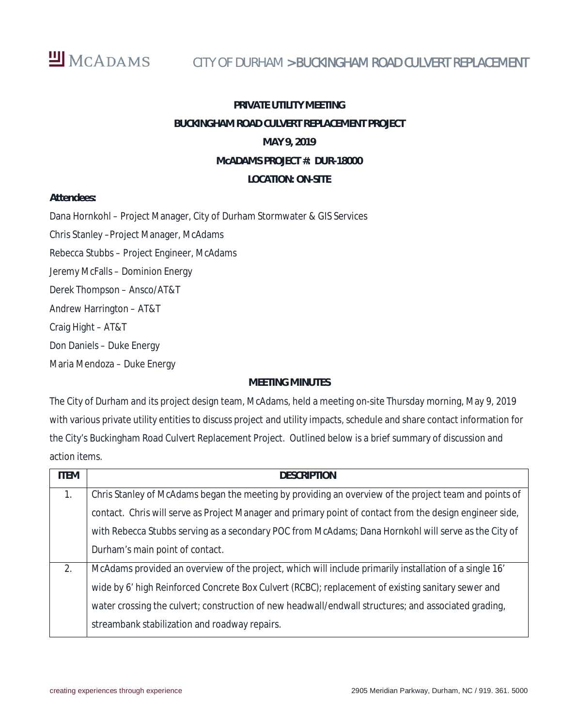

## CITY OF DURHAM > BUCKINGHAM ROAD CULVERT REPLACEMENT

# **PRIVATE UTILITY MEETING BUCKINGHAM ROAD CULVERT REPLACEMENT PROJECT MAY 9, 2019 McADAMS PROJECT #: DUR-18000 LOCATION: ON-SITE**

**Attendees:**

Dana Hornkohl – Project Manager, City of Durham Stormwater & GIS Services Chris Stanley –Project Manager, McAdams Rebecca Stubbs – Project Engineer, McAdams Jeremy McFalls – Dominion Energy

Derek Thompson – Ansco/AT&T

Andrew Harrington – AT&T

Craig Hight – AT&T

Don Daniels – Duke Energy

Maria Mendoza – Duke Energy

#### **MEETING MINUTES**

The City of Durham and its project design team, McAdams, held a meeting on-site Thursday morning, May 9, 2019 with various private utility entities to discuss project and utility impacts, schedule and share contact information for the City's Buckingham Road Culvert Replacement Project. Outlined below is a brief summary of discussion and action items.

| <b>ITEM</b>    | <b>DESCRIPTION</b>                                                                                       |  |  |  |  |  |
|----------------|----------------------------------------------------------------------------------------------------------|--|--|--|--|--|
| $\mathbf{1}$ . | Chris Stanley of McAdams began the meeting by providing an overview of the project team and points of    |  |  |  |  |  |
|                | contact. Chris will serve as Project Manager and primary point of contact from the design engineer side, |  |  |  |  |  |
|                | with Rebecca Stubbs serving as a secondary POC from McAdams; Dana Hornkohl will serve as the City of     |  |  |  |  |  |
|                | Durham's main point of contact.                                                                          |  |  |  |  |  |
| 2.             | McAdams provided an overview of the project, which will include primarily installation of a single 16'   |  |  |  |  |  |
|                | wide by 6' high Reinforced Concrete Box Culvert (RCBC); replacement of existing sanitary sewer and       |  |  |  |  |  |
|                | water crossing the culvert; construction of new headwall/endwall structures; and associated grading,     |  |  |  |  |  |
|                | streambank stabilization and roadway repairs.                                                            |  |  |  |  |  |